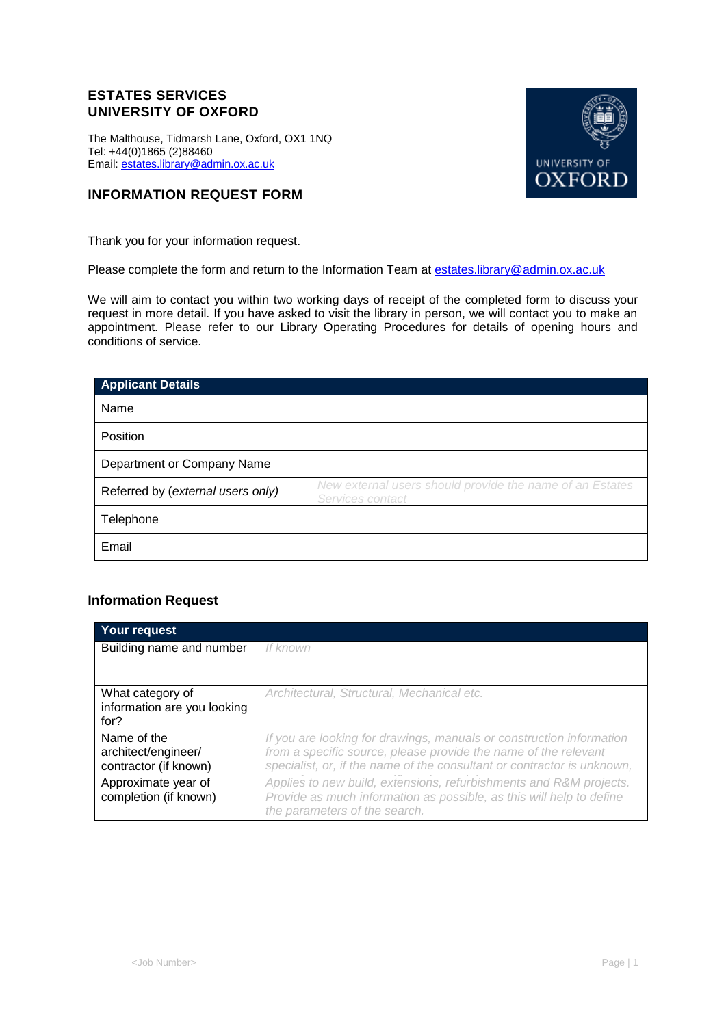## **ESTATES SERVICES UNIVERSITY OF OXFORD**

The Malthouse, Tidmarsh Lane, Oxford, OX1 1NQ Tel: +44(0)1865 (2)88460 Email[: estates.library@admin.ox.ac.uk](mailto:estates.library@admin.ox.ac.uk)



Thank you for your information request.

Please complete the form and return to the Information Team at [estates.library@admin.ox.ac.uk](mailto:estates.library@admin.ox.ac.uk)

We will aim to contact you within two working days of receipt of the completed form to discuss your request in more detail. If you have asked to visit the library in person, we will contact you to make an appointment. Please refer to our Library Operating Procedures for details of opening hours and conditions of service.

| <b>Applicant Details</b>          |                                                                              |
|-----------------------------------|------------------------------------------------------------------------------|
| Name                              |                                                                              |
| <b>Position</b>                   |                                                                              |
| Department or Company Name        |                                                                              |
| Referred by (external users only) | New external users should provide the name of an Estates<br>Services contact |
| Telephone                         |                                                                              |
| Email                             |                                                                              |

## **Information Request**

| Your request                                                |                                                                                                                                                                                                                    |
|-------------------------------------------------------------|--------------------------------------------------------------------------------------------------------------------------------------------------------------------------------------------------------------------|
| Building name and number                                    | If known                                                                                                                                                                                                           |
| What category of<br>information are you looking<br>for?     | Architectural, Structural, Mechanical etc.                                                                                                                                                                         |
| Name of the<br>architect/engineer/<br>contractor (if known) | If you are looking for drawings, manuals or construction information<br>from a specific source, please provide the name of the relevant<br>specialist, or, if the name of the consultant or contractor is unknown, |
| Approximate year of<br>completion (if known)                | Applies to new build, extensions, refurbishments and R&M projects.<br>Provide as much information as possible, as this will help to define<br>the parameters of the search.                                        |